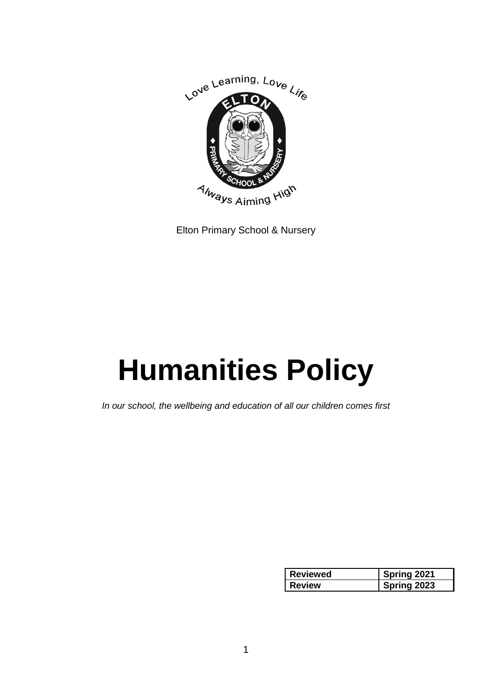

Elton Primary School & Nursery

# **Humanities Policy**

*In our school, the wellbeing and education of all our children comes first*

| <b>Reviewed</b> | Spring 2021 |
|-----------------|-------------|
| <b>Review</b>   | Spring 2023 |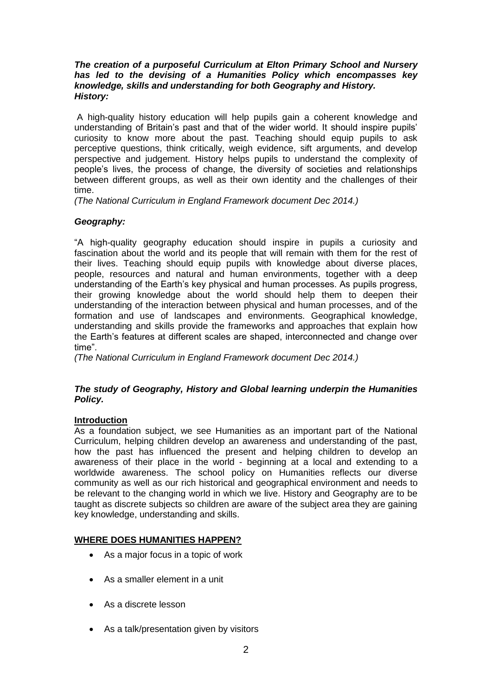#### *The creation of a purposeful Curriculum at Elton Primary School and Nursery has led to the devising of a Humanities Policy which encompasses key knowledge, skills and understanding for both Geography and History. History:*

A high-quality history education will help pupils gain a coherent knowledge and understanding of Britain's past and that of the wider world. It should inspire pupils' curiosity to know more about the past. Teaching should equip pupils to ask perceptive questions, think critically, weigh evidence, sift arguments, and develop perspective and judgement. History helps pupils to understand the complexity of people's lives, the process of change, the diversity of societies and relationships between different groups, as well as their own identity and the challenges of their time.

*(The National Curriculum in England Framework document Dec 2014.)*

# *Geography:*

"A high-quality geography education should inspire in pupils a curiosity and fascination about the world and its people that will remain with them for the rest of their lives. Teaching should equip pupils with knowledge about diverse places, people, resources and natural and human environments, together with a deep understanding of the Earth's key physical and human processes. As pupils progress, their growing knowledge about the world should help them to deepen their understanding of the interaction between physical and human processes, and of the formation and use of landscapes and environments. Geographical knowledge, understanding and skills provide the frameworks and approaches that explain how the Earth's features at different scales are shaped, interconnected and change over time".

*(The National Curriculum in England Framework document Dec 2014.)*

## *The study of Geography, History and Global learning underpin the Humanities Policy.*

## **Introduction**

As a foundation subject, we see Humanities as an important part of the National Curriculum, helping children develop an awareness and understanding of the past, how the past has influenced the present and helping children to develop an awareness of their place in the world - beginning at a local and extending to a worldwide awareness. The school policy on Humanities reflects our diverse community as well as our rich historical and geographical environment and needs to be relevant to the changing world in which we live. History and Geography are to be taught as discrete subjects so children are aware of the subject area they are gaining key knowledge, understanding and skills.

# **WHERE DOES HUMANITIES HAPPEN?**

- As a major focus in a topic of work
- As a smaller element in a unit
- As a discrete lesson
- As a talk/presentation given by visitors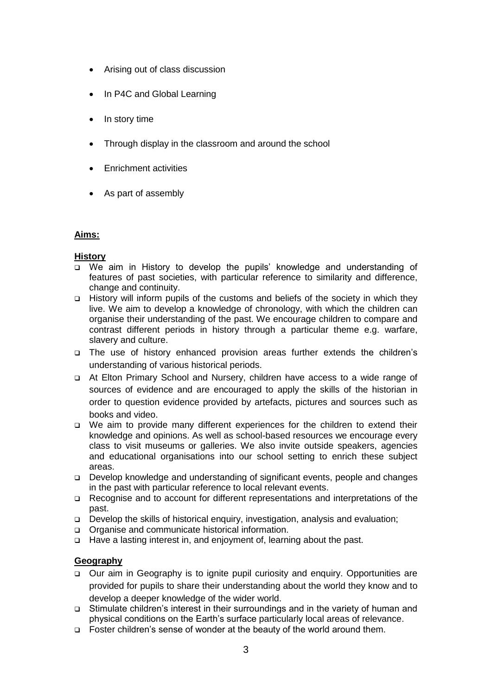- Arising out of class discussion
- In P4C and Global Learning
- In story time
- Through display in the classroom and around the school
- Enrichment activities
- As part of assembly

## **Aims:**

## **History**

- We aim in History to develop the pupils' knowledge and understanding of features of past societies, with particular reference to similarity and difference, change and continuity.
- History will inform pupils of the customs and beliefs of the society in which they live. We aim to develop a knowledge of chronology, with which the children can organise their understanding of the past. We encourage children to compare and contrast different periods in history through a particular theme e.g. warfare, slavery and culture.
- The use of history enhanced provision areas further extends the children's understanding of various historical periods.
- At Elton Primary School and Nursery, children have access to a wide range of sources of evidence and are encouraged to apply the skills of the historian in order to question evidence provided by artefacts, pictures and sources such as books and video.
- We aim to provide many different experiences for the children to extend their knowledge and opinions. As well as school-based resources we encourage every class to visit museums or galleries. We also invite outside speakers, agencies and educational organisations into our school setting to enrich these subject areas.
- Develop knowledge and understanding of significant events, people and changes in the past with particular reference to local relevant events.
- Recognise and to account for different representations and interpretations of the past.
- Develop the skills of historical enquiry, investigation, analysis and evaluation;
- □ Organise and communicate historical information.
- Have a lasting interest in, and enjoyment of, learning about the past.

# **Geography**

- Our aim in Geography is to ignite pupil curiosity and enquiry. Opportunities are provided for pupils to share their understanding about the world they know and to develop a deeper knowledge of the wider world.
- Stimulate children's interest in their surroundings and in the variety of human and physical conditions on the Earth's surface particularly local areas of relevance.
- □ Foster children's sense of wonder at the beauty of the world around them.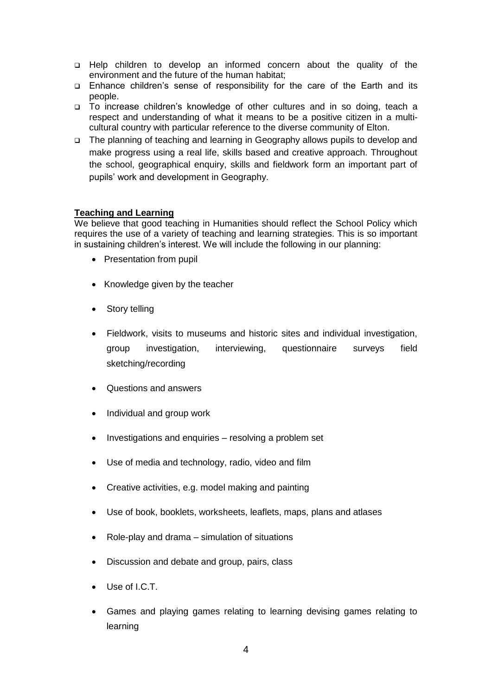- Help children to develop an informed concern about the quality of the environment and the future of the human habitat;
- Enhance children's sense of responsibility for the care of the Earth and its people.
- To increase children's knowledge of other cultures and in so doing, teach a respect and understanding of what it means to be a positive citizen in a multicultural country with particular reference to the diverse community of Elton.
- The planning of teaching and learning in Geography allows pupils to develop and make progress using a real life, skills based and creative approach. Throughout the school, geographical enquiry, skills and fieldwork form an important part of pupils' work and development in Geography.

#### **Teaching and Learning**

We believe that good teaching in Humanities should reflect the School Policy which requires the use of a variety of teaching and learning strategies. This is so important in sustaining children's interest. We will include the following in our planning:

- Presentation from pupil
- Knowledge given by the teacher
- Story telling
- Fieldwork, visits to museums and historic sites and individual investigation, group investigation, interviewing, questionnaire surveys field sketching/recording
- Questions and answers
- Individual and group work
- Investigations and enquiries resolving a problem set
- Use of media and technology, radio, video and film
- Creative activities, e.g. model making and painting
- Use of book, booklets, worksheets, leaflets, maps, plans and atlases
- Role-play and drama simulation of situations
- Discussion and debate and group, pairs, class
- Use of I.C.T.
- Games and playing games relating to learning devising games relating to learning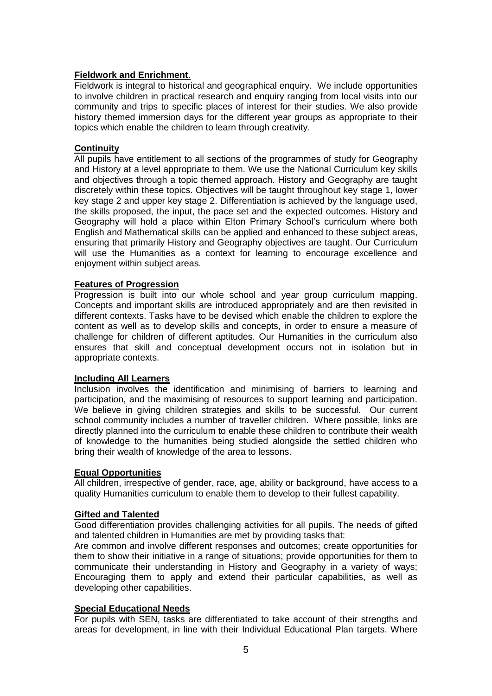## **Fieldwork and Enrichment**.

Fieldwork is integral to historical and geographical enquiry. We include opportunities to involve children in practical research and enquiry ranging from local visits into our community and trips to specific places of interest for their studies. We also provide history themed immersion days for the different year groups as appropriate to their topics which enable the children to learn through creativity.

#### **Continuity**

All pupils have entitlement to all sections of the programmes of study for Geography and History at a level appropriate to them. We use the National Curriculum key skills and objectives through a topic themed approach. History and Geography are taught discretely within these topics. Objectives will be taught throughout key stage 1, lower key stage 2 and upper key stage 2. Differentiation is achieved by the language used, the skills proposed, the input, the pace set and the expected outcomes. History and Geography will hold a place within Elton Primary School's curriculum where both English and Mathematical skills can be applied and enhanced to these subject areas, ensuring that primarily History and Geography objectives are taught. Our Curriculum will use the Humanities as a context for learning to encourage excellence and enjoyment within subject areas.

#### **Features of Progression**

Progression is built into our whole school and year group curriculum mapping. Concepts and important skills are introduced appropriately and are then revisited in different contexts. Tasks have to be devised which enable the children to explore the content as well as to develop skills and concepts, in order to ensure a measure of challenge for children of different aptitudes. Our Humanities in the curriculum also ensures that skill and conceptual development occurs not in isolation but in appropriate contexts.

## **Including All Learners**

Inclusion involves the identification and minimising of barriers to learning and participation, and the maximising of resources to support learning and participation. We believe in giving children strategies and skills to be successful. Our current school community includes a number of traveller children. Where possible, links are directly planned into the curriculum to enable these children to contribute their wealth of knowledge to the humanities being studied alongside the settled children who bring their wealth of knowledge of the area to lessons.

#### **Equal Opportunities**

All children, irrespective of gender, race, age, ability or background, have access to a quality Humanities curriculum to enable them to develop to their fullest capability.

#### **Gifted and Talented**

Good differentiation provides challenging activities for all pupils. The needs of gifted and talented children in Humanities are met by providing tasks that:

Are common and involve different responses and outcomes; create opportunities for them to show their initiative in a range of situations; provide opportunities for them to communicate their understanding in History and Geography in a variety of ways; Encouraging them to apply and extend their particular capabilities, as well as developing other capabilities.

#### **Special Educational Needs**

For pupils with SEN, tasks are differentiated to take account of their strengths and areas for development, in line with their Individual Educational Plan targets. Where